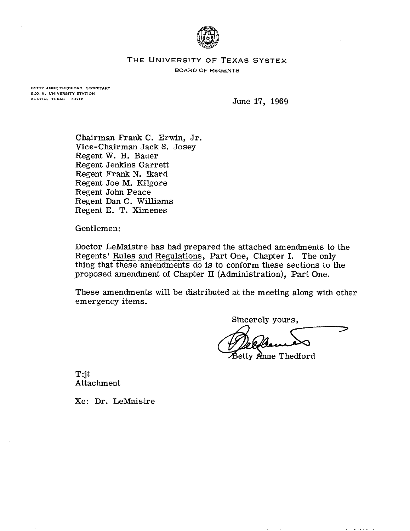

## **THE UNIVERSITY OF TEXAS SYSTEM**

**BOARD OF REGENTS** 

**BETTY ANNETHEDFORD, SECRETARY BOX N, UNIVERSITY STATION AUSTIN. TEXAS 78712** 

June 17, 1969

Chairman Frank C. Erwin, Jr. Vice-chairman Jack S. Josey Regent W. H. Bauer Regent Jenkins Garrett Regent Frank N. Ikard Regent Joe M. Kilgore Regent John Peace Regent Dan C. Williams Regent E. T. Ximenes

Gentlemen:

Doctor LeMaistre has had prepared the attached amendments to the Regents' Rules and Regulations, Part One, Chapter I. The only thing that these amendments do is to conform these sections to the proposed amendment of Chapter **11** (Administration), Part One.

These amendments will be distributed at the meeting along with other emergency items.

Sincerelv vours.

 $\widehat{\mathcal{B}}$ etty Anne Thedford

T:jt Attachment

Xc: Dr. LeMaistre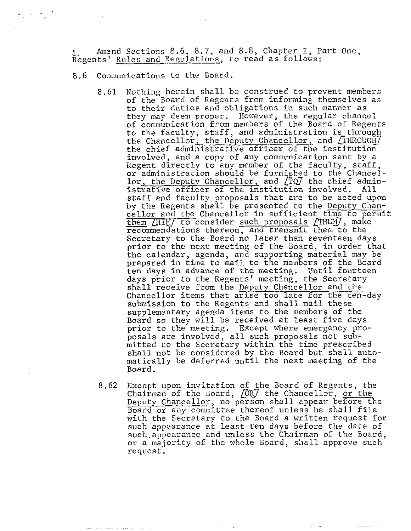<sup>1</sup>. Amend Sections 8.6, 8.7, and 8.8, Chapter I, Part One, Regents' Rules and Regulations, to read as follows:

8.6 Communications to the Board.

- 8.61 Nothing herein shall be construed to prevent members of the Board of Regents from informing themselves as to their duties and obligations in such manner as they may deem proper. However, the regular channel of communication from members of the Board of Regents to the faculty, staff, and administration is through the Chancellor, the Deputy Chancellor, and  $/THROUGH$ the chief administrative officer of the institution involved, and a copy of any communication sent by a Regent directly to any member of the faculty, staff. or administration should be furnished to the Chancellor, the Deputy Chancellor, and  $\binom{r}{10}$  the chief administrative officer of the institution involved. All staff and faculty proposals that are to be acted upon by the Regents shall be presented to the Deputy Chancellor and the Chancellor in sufficient time to permit wegent directly to any member of the factory, searlow and love defined to the Chance lor, the Deputy Chancellor, and (TO) the chief admitstrative officer of the institution involved. All staff and faculty proposals that ar recommendations thereon, and transmit them to the Secretary to the Board no later than seventeen days prior to the next meeting of the Board, in order that the calendar, agenda, and supporting material may be prepared in time to mail to the members of the Board ten days in advance of the meeting. Until fourteen days prior to the Regents' meeting, the Secretary shall receive from the Deputy Chancellor and the Chancellor items that arise too late for the ten-day submission to the Regents and shall mail these supplementary agenda items to the members of the Board so they will be received at least five days prior to the meeting. Except where emergency proposals are involved, all such proposals not submitted to the Secretary within the time prescribed shall not be considered by the Board but shall automatically be deferred until the next meeting of the Board.
- 8.62 Except upon invitation of the Board of Regents, the Chairman of the Board, *[ORJ* the Chancellor, or the Deputy Chancellor, no person shall appear before the Board or any committee thereof unless he shall file with the Secretary to the Board a written request for such appearance at least ten days before the date of such.appearance and unless the Chairman of the Board, or a majority of the whole Board, shall approve such request.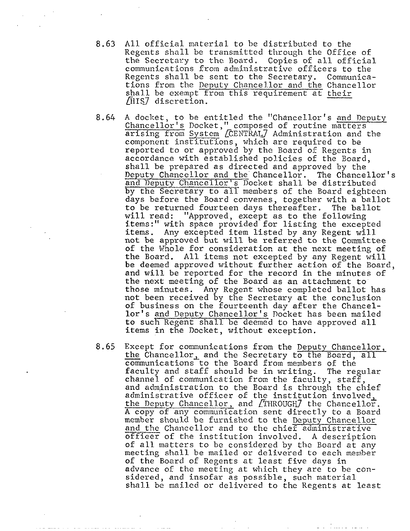- All official material to be distributed to the 8.63 Regents shall be transmitted through the Office of the Secretary to the Board. Copies of all official communications from administrative officers to the Regents shall be sent to the Secretary. Communications from the Deputy Chance1.lor and the Chancellor shall be exempt from this requirement at their /HIS7 discretion.
- $8.64$ A docket, to be entitled the "Chancellor's and Deputy Chancellor's Docket," composed of routine matters arising from System [CENTRAL] Administration and the component institutions. which are required to be reported to or approved by the Board of Regents in accordance with established policies of the Board, shall be prepared as directed and approved by the Deputy Chancellor and the Chancellor. The Chancellor's and Deputy Chancellor's Docket shall be distributed by the Secretary to all members of the Board eighteen days before the Board convenes, together with a ballot to be returned fourteen days thereafter. The ballot will read: "Approved, except as to the following items:" with space provided for listing the excepted items. Any excepted item listed by any Regent will not be approved but will be referred to the Committee of the Whole for consideration at the next meeting of the Board. All items not excepted by any Regent will be deemed approved without further action of the Board, and will be reported for the record in the minutes of the next meeting of the Board as an attachment to' those minutes. Any Regent whose completed ballot has not been received by the Secretary at the conclusion of business on the fourteenth day after the Chancellor's and Deputy Chancellor's Docket has been mailed items in the Docket, without exception.
- Ior s and Deputy Chancellor s Docket has been mailed<br>
to such Regent shall be deemed to have approved all<br>
items in the Docket, without exception.<br>
Except for communications from the Deputy Chancellor<br>
the Chancellor, and Except for communications from the Deputy Chancellor, the Chancellor, and the Secretary to the Board, all 8.65 communications to the Board from members of the faculty and staff should be in writing. The regular channel of communication from the faculty, staff, and administration to the Board is through the chief administrative officer of the institution involved,<br>the Deputy Chancellor, and [THROUGH] the Chancellor.<br>A copy of any communication sent directly to a Board<br>member should be furnished to the Deputy Chancellor<br>and the Chan administrative officer of the institution involved, A copy of any communication sent directly to a Board member should be furnished to the Deputy Chancellor and the Chancellor and to the chief administrative officer of the institution involved. A description of all matters to be considered by the Board at any meeting shall be mailed or delivered to each member of the Board of Regents at least five days in advance of the meeting at which they are to be considered, and insofar as possible, such material shall be mailed or delivered to the Regents at least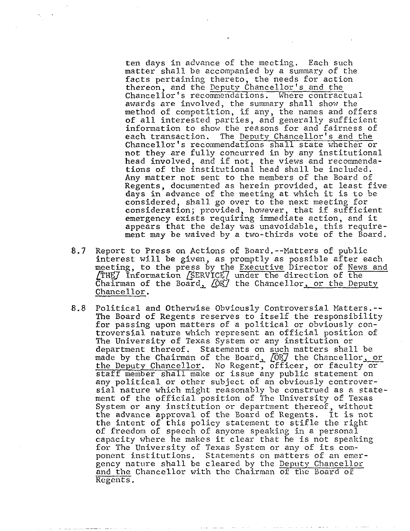ten days in advance of the meeting. Each such matter shall be accompanied by a summary of the facts pertaining thereto, the needs for action thereon, and the Deputy Chancellor's and the Chancellor's recommendations. Where contractual awards are involved, the summary shall show the method of competition, if any, the names and offers of all interested parties, and generally sufficient information to show the reasons for and fairness of each transaction. The Deputy Chancellor's and the The Deputy Chancellor's and the Chancellor's recommendations shall state whether or not they are fully concurred in by any institutional head involved, and if not, the views and recommendations of the institutional head shall be included. Any matter not sent to the members of the Board of Regents, documented as herein provided, at least five days in advance of the meeting at which it is to be considered, shall go over to the next meeting for consideration; provided, however, that if sufficient emergency exists requiring immediate action, and it appears that the delay was unavoidable, this requirement may be waived by a two-thirds vote of the Board.

- 8.7 Report to Press on Actions of Board.--Matters of public interest will be given, as promptly as possible after each meeting, to the press by the Executive Director of News and meeting, to the press by the Executive Director of News and **ITHEY** Information *[SERVICE]* under the direction of the Chairman of the Board,  $\overline{QR}$  the Chancellor, or the Deputy Chancellor.
- 8.8 Political and Otherwise Obviously Controversial Matters.-- The Board of Regents reserves to itself the responsibility for passing upon matters of a political or obviously controversial nature which represent an official position of The University of Texas System or any institution or deoartment thereof. Statements on such matters shall be made by the Chairman of the Board, COR7 the Chancellor, or the Deputy Chancellor. No Regent, officer, or faculty or staff member shall make or issue any public statement on any political or other subject of an obviously controversial nature which might reasonably be construed as a statement of the official position of The University of Texas System or any institution or department thereof, without the advance approval of the Board of Regents. It is not the intent of this policy statement to stifle the right of freedom of speech of anyone speaking in a personal capacity where he makes it clear that he is not speaking for The University of Texas System or any of its component institutions. Statements on matters of an emergency nature shall be cleared by the Deputy Chancellor and the Chancellor with the Chairman of the Board oE Regents .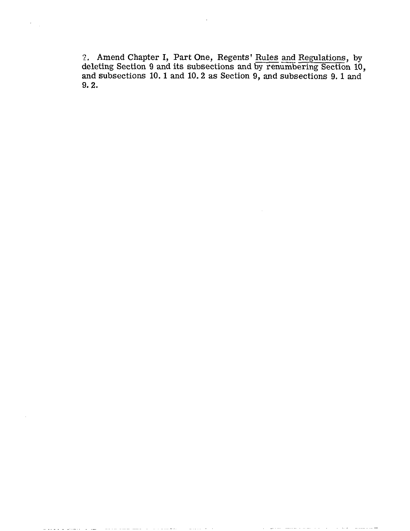2. Amend Chapter I, Part One, Regents' Rules and Regulations, by deleting Section 9 and its subsections and by renumbering Section 10, and subsections 10. **1** and 10.2 as Section 9, and subsections 9.1 and 9.2.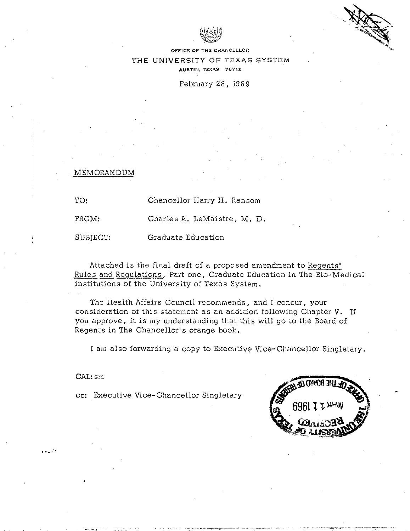

**OFFICE OF THE CI-IANCELLOR** 

**THE** *UNIVERSITY OF TEXAS SYSTEM*  **AUSTIN. TEXAS 78712** 

February 28, 1969

MEMORAN

1

TO: Chancellor Harry H. Ransom

FROM: Charles A. LeMaistre, M. D.

SUBJECT: Graduate Education

Attached is the final draft of a proposed amendment to Reqents' Rules and Regulations, Part one, Graduate Education in The Bio-Medical institutions of the University of Texas System.

The Health Affairs Council recommends, and I concur, your consideration of this statement as an addition following Chapter V. If you approve, it is my understanding that this will go to the Board of Regents in The Chancellor's orange book.

I am also forwarding a copy to Executive Vice-Chancellor Singletary.

CAL: sm

**cc:** Executive Vice-chancellor Singletary

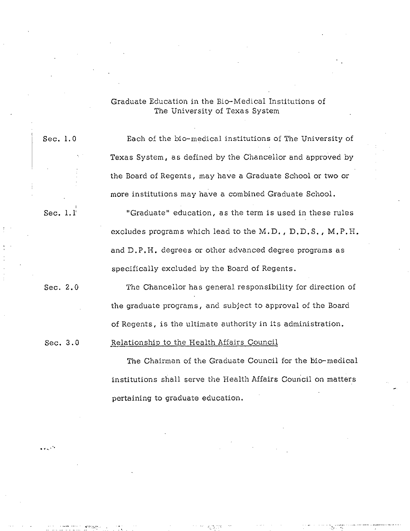# Graduate Education in the Bio-Medical Institutions of The University of Texas System

Sec. 1.0 Each of the bio-medical institutions of The University of Texas System, as defined by the Chancellor and approved by the Board of Regents, may have a Graduate School or two or more institutions may have a combined Graduate School.

Sec.  $1.1'$  "Graduate" education, as the term is used in these rules excludes programs which lead to the M.D. , D.D. S. , M. P.H. and D.P.H. degrees or other advanced degree programs as specifically excluded by the Board of Regents.

Sec. 2.0 The Chancellor has general responsibility for direction of the graduate programs, and subject to approval of the Board of Regents, is the ultimate authority in its administration.

Sec. 3.0 Relationship to the Health Affairs Council

The Chairman of the Graduate Council for the bio-medical institutions shall serve the Health Affairs Council on matters pertaining to graduate education.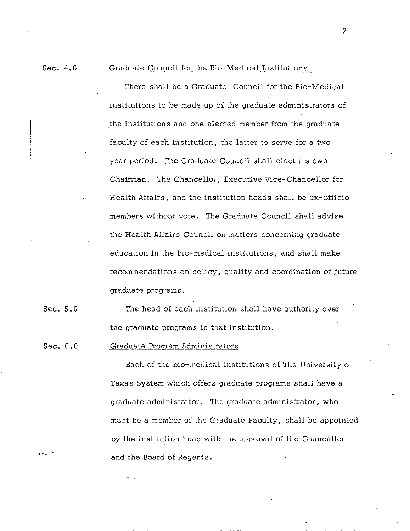### Sec. 4.0 Graduate Council for the Bio-Medical Institutions

There shall be a Graduate Council for the Bio-Medical institutions to be made up of the graduate administrators of the institutions and one elected member from the graduate faculty of each institution, the latter to serve for a two year period. The Graduate Council shall elect its own Chairman. The Chancellor, Executive Vice-chancellor for Health Affairs, and the institution heads shall be ex-officio members without vote. The Graduate Council shall advise the Health Affairs Council on matters concerning graduate education in the bio-medical institutions, and shall make recommendations on policy, quality and coordination of future graduate programs.

Sec. 5.0 The head of each institution shall have authority over the graduate programs in that institution.

### Sec. 6.0 Graduate Program Administrators

Each of the bio-medical institutions of The University of Texas System which offers graduate programs shall have a graduate administrator. The graduate administrator, who must be a member of the Graduate Faculty, shall be appointed by the institution head with the approval of the Chancellor and the Board of Regents..

 $\overline{c}$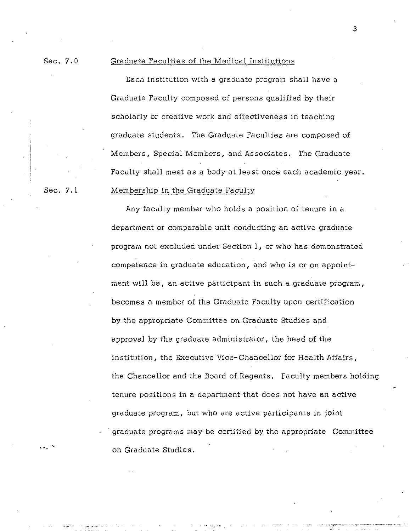## Sec. 7.0 Graduate Faculties of the Medical Institutions

Each institution with a graduate program shall have a Graduate Faculty composed of persons qualified by their scholarly or creative work and effectiveness in teaching graduate students. The Graduate Faculties are composed of Members, Special Members, and Associates. The Graduate Faculty shall meet as a body at least once each academic year.

I

!

## Sec. 7.1 Membership in the Graduate Faculty

Any faculty member who holds a position of tenure in a department or comparable unit conducting an active graduate program not excluded under Section I, or who has demonstrated competence in graduate education, and who is or on appointment will be, an active participant in such a graduate program, becomes a member of the Graduate Faculty upon certification by the appropriate Committee on Graduate Studies and approval by the graduate administrator, the head of the institution, the Executive Vice-chancellor for Health Affairs, the Chancellor and the Board of Regents. Faculty members holding tenure positions in a department that does not have an active graduate program, but who are active participants in joint graduate programs may be certified by the appropriate Committee on Graduate Studies.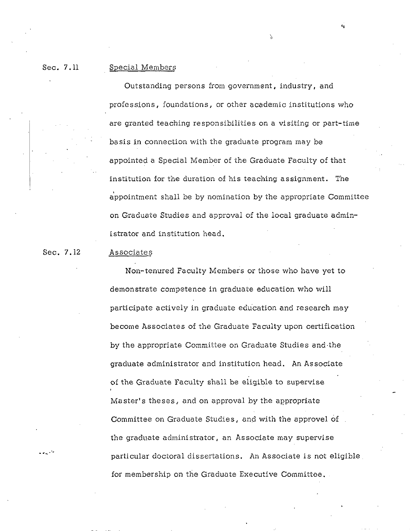#### Sec. 7.11 Special Members

Outstanding persons from government, industry, and professions, foundations, or other academic institutions who are granted teaching responsibilities on a visiting or part-time basis in connection with the graduate program may be appointed a Special Member of the Graduate Faculty of that institution for the duration of his teaching assignment. The appointment shall be by nomination by the appropriate Committee on Graduate Studies and approval of the local graduate administrator and institution head.

N

#### Sec. 7.12 Associates

Non-tenured Faculty Members or those who have yet to demonstrate competence in graduate education who will participate actively in graduate education and research may become Associates of the Graduate Faculty upon certification by the appropriate Committee on Graduate Studies and.the graduate administrator and institution head. An Associate of the Graduate Faculty shall be eligible to supervise Master's theses, and on approval by the appropriate Committee on Graduate Studies, and with the approve1 of the graduate administrator, an Associate may supervise particular doctoral dissertations. An Associate is not eligible for membership on the Graduate Executive Committee.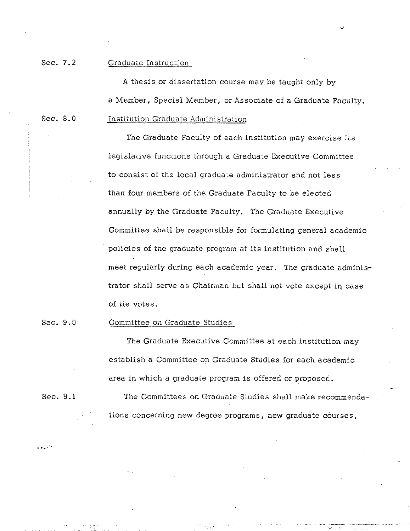Sec. 7.2 Graduate Instruction

A thesis or dissertation course may be taught only by a Member, Special Member, or Associate of a Graduate Faculty. Sec. 8.0 Institution Graduate Administration

> The Graduate Faculty of each institution may exercise its legislative functions through a Graduate Executive Committee to consist of the local graduate administrator and not less than four members of the Graduate Faculty to be elected annually by the Graduate Faculty. The Graduate Executive Committee shall be responsible for formulating general academic policies of the graduate program at its institution and shall meet regularly during each academic year. The graduate administrator shall serve as Chairman but shall not vote except in case of tie votes.

### Sec. 9.0 Committee on Graduate Studies

The Graduate Executive Committee at each institution may establish a Committee on Graduate Studies for each academic area in which a graduate program is ofiered or proposed.

-

Sec. 9.1 The Committees on Graduate Studies shall make recommendations concerning new degree programs, new graduate courses,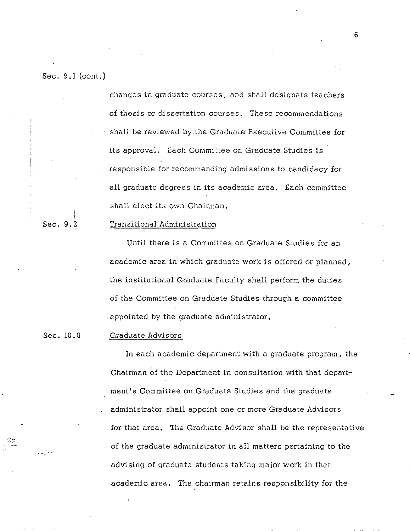Sec. 9.1 (cont.)

I

!

changes in graduate courses, and shall designate teachers of thesis or dissertation courses. These recommendations shall be reviewed by the Graduate Executive Committee for its approval. Each Committee on Graduate Studies is responsible for recommending admissions to candidacy for all graduate degrees in its academic area. Each committee shall elect its own Chairman,

## Sec. 9.2 Transitional Administration

Until there is a Committee on Graduate Studies for an academic area in which graduate work is offered or planned, the institutional Graduate Faculty shall perform the duties of the Committee on Graduate Studies through a committee appointed by the graduate administrator.

## Sec. 10.0 Graduate Advisors

In each academic department with a graduate program, the Chairman of the Department in consultation with that department's Committee on Graduate Studies and the graduate administrator shall appoint one or more Graduate Advisors for that area. The Graduate Advisor shall be the representative of the graduate administrator in a11 matters pertaining to the advising of graduate students taking major work in that academic area. The chairman retains responsibility for the